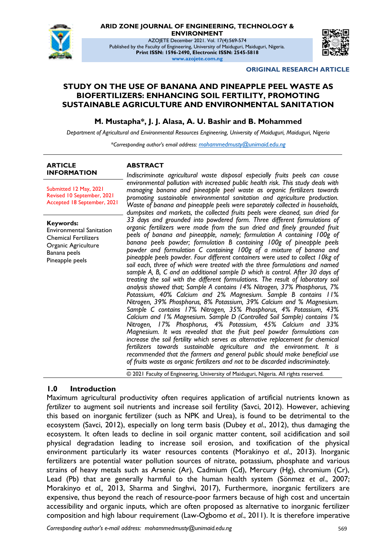

**ARID ZONE JOURNAL OF ENGINEERING, TECHNOLOGY &** 

**ENVIRONMENT**

AZOJETE December 2021. Vol. 17(4):569-574 Published by the Faculty of Engineering, University of Maiduguri, Maiduguri, Nigeria. **Print ISSN: 1596-2490, Electronic ISSN: 2545-5818 www.azojete.com.ng**



#### **ORIGINAL RESEARCH ARTICLE**

#### **STUDY ON THE USE OF BANANA AND PINEAPPLE PEEL WASTE AS BIOFERTILIZERS: ENHANCING SOIL FERTILITY, PROMOTING SUSTAINABLE AGRICULTURE AND ENVIRONMENTAL SANITATION**

#### **M. Mustapha\*, J. J. Alasa, A. U. Bashir and B. Mohammed**

*Department of Agricultural and Environmental Resources Engineering, University of Maiduguri, Maiduguri, Nigeria*

*\*Corresponding author's email address: mohammedmusty@unimaid.edu.ng*

#### **ARTICLE INFORMATION**

#### **ABSTRACT**

Submitted 12 May, 2021 Revised 10 September, 2021 Accepted 18 September, 2021

**Keywords:**

Environmental Sanitation Chemical Fertilizers Organic Agriculture Banana peels Pineapple peels

*Indiscriminate agricultural waste disposal especially fruits peels can cause environmental pollution with increased public health risk. This study deals with managing banana and pineapple peel waste as organic fertilizers towards promoting sustainable environmental sanitation and agriculture production. Waste of banana and pineapple peels were separately collected in households, dumpsites and markets, the collected fruits peels were cleaned, sun dried for 33 days and grounded into powdered form. Three different formulations of organic fertilizers were made from the sun dried and finely grounded fruit peels of banana and pineapple, namely; formulation A containing 100g of banana peels powder; formulation B containing 100g of pineapple peels powder and formulation C containing 100g of a mixture of banana and pineapple peels powder. Four different containers were used to collect 10kg of soil each, three of which were treated with the three formulations and named sample A, B, C and an additional sample D which is control. After 30 days of treating the soil with the different formulations. The result of laboratory soil analysis showed that; Sample A contains 14% Nitrogen, 37% Phosphorus, 7% Potassium, 40% Calcium and 2% Magnesium. Sample B contains 11% Nitrogen, 39% Phosphorus, 8% Potassium, 39% Calcium and % Magnesium. Sample C contains 17% Nitrogen, 35% Phosphorus, 4% Potassium, 43% Calcium and 1% Magnesium. Sample D (Controlled Soil Sample) contains 1% Nitrogen, 17% Phosphorus, 4% Potassium, 45% Calcium and 33% Magnesium. It was revealed that the fruit peel powder formulations can increase the soil fertility which serves as alternative replacement for chemical fertilizers towards sustainable agriculture and the environment. It is recommended that the farmers and general public should make beneficial use of fruits waste as organic fertilizers and not to be discarded indiscriminately.*

© 2021 Faculty of Engineering, University of Maiduguri, Nigeria. All rights reserved.

### **1.0 Introduction**

Maximum agricultural productivity often requires application of artificial nutrients known as *fertilizer* to augment soil nutrients and increase soil fertility (Savci, 2012). However, achieving this based on inorganic fertilizer (such as NPK and Urea), is found to be detrimental to the ecosystem (Savci, 2012), especially on long term basis (Dubey *et al*., 2012), thus damaging the ecosystem. It often leads to decline in soil organic matter content, soil acidification and soil physical degradation leading to increase soil erosion, and toxification of the physical environment particularly its water resources contents (Morakinyo *et al*., 2013). Inorganic fertilizers are potential water pollution sources of nitrate, potassium, phosphate and various strains of heavy metals such as Arsenic (Ar), Cadmium (Cd), Mercury (Hg), chromium (Cr), Lead (Pb) that are generally harmful to the human health system (Sönmez *et al*., 2007; Morakinyo *et al.,* 2013, Sharma and Singhvi, 2017), Furthermore, inorganic fertilizers are expensive, thus beyond the reach of resource-poor farmers because of high cost and uncertain accessibility and organic inputs, which are often proposed as alternative to inorganic fertilizer composition and high labour requirement (Law-Ogbomo *et al*., 2011). It is therefore imperative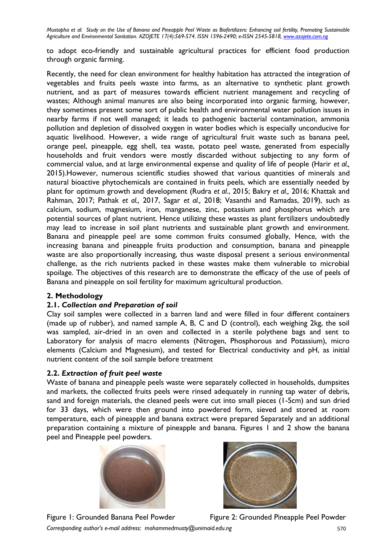*Mustapha et al: Study on the Use of Banana and Pineapple Peel Waste as Biofertilizers: Enhancing soil fertility, Promoting Sustainable Agriculture and Environmental Sanitation. AZOJETE 17(4):569-574. ISSN 1596-2490; e-ISSN 2545-5818, www.azojete.com.ng*

to adopt eco-friendly and sustainable agricultural practices for efficient food production through organic farming.

Recently, the need for clean environment for healthy habitation has attracted the integration of vegetables and fruits peels waste into farms, as an alternative to synthetic plant growth nutrient, and as part of measures towards efficient nutrient management and recycling of wastes; Although animal manures are also being incorporated into organic farming, however, they sometimes present some sort of public health and environmental water pollution issues in nearby farms if not well managed; it leads to pathogenic bacterial contamination, ammonia pollution and depletion of dissolved oxygen in water bodies which is especially unconducive for aquatic livelihood. However, a wide range of agricultural fruit waste such as banana peel, orange peel, pineapple, egg shell, tea waste, potato peel waste, generated from especially households and fruit vendors were mostly discarded without subjecting to any form of commercial value, and at large environmental expense and quality of life of people (Harir *et al.,* 2015).However, numerous scientific studies showed that various quantities of minerals and natural bioactive phytochemicals are contained in fruits peels, which are essentially needed by plant for optimum growth and development (Rudra *et al*., 2015; Bakry *et al.,* 2016; Khattak and Rahman, 2017; Pathak *et al.,* 2017, Sagar *et al.,* 2018; Vasanthi and Ramadas, 2019), such as calcium, sodium, magnesium, iron, manganese, zinc, potassium and phosphorus which are potential sources of plant nutrient. Hence utilizing these wastes as plant fertilizers undoubtedly may lead to increase in soil plant nutrients and sustainable plant growth and environment. Banana and pineapple peel are some common fruits consumed globally, Hence, with the increasing banana and pineapple fruits production and consumption, banana and pineapple waste are also proportionally increasing, thus waste disposal present a serious environmental challenge, as the rich nutrients packed in these wastes make them vulnerable to microbial spoilage. The objectives of this research are to demonstrate the efficacy of the use of peels of Banana and pineapple on soil fertility for maximum agricultural production.

### **2. Methodology**

### **2.1.** *Collection and Preparation of soil*

Clay soil samples were collected in a barren land and were filled in four different containers (made up of rubber), and named sample A, B, C and D (control), each weighing 2kg, the soil was sampled, air-dried in an oven and collected in a sterile polythene bags and sent to Laboratory for analysis of macro elements (Nitrogen, Phosphorous and Potassium), micro elements (Calcium and Magnesium), and tested for Electrical conductivity and pH, as initial nutrient content of the soil sample before treatment

### **2.2.** *Extraction of fruit peel waste*

Waste of banana and pineapple peels waste were separately collected in households, dumpsites and markets, the collected fruits peels were rinsed adequately in running tap water of debris, sand and foreign materials, the cleaned peels were cut into small pieces (1-5cm) and sun dried for 33 days, which were then ground into powdered form, sieved and stored at room temperature, each of pineapple and banana extract were prepared Separately and an additional preparation containing a mixture of pineapple and banana. Figures 1 and 2 show the banana peel and Pineapple peel powders.





*Corresponding author's e-mail address: mohammedmusty@unimaid.edu.ng* 570 Figure 1: Grounded Banana Peel Powder Figure 2: Grounded Pineapple Peel Powder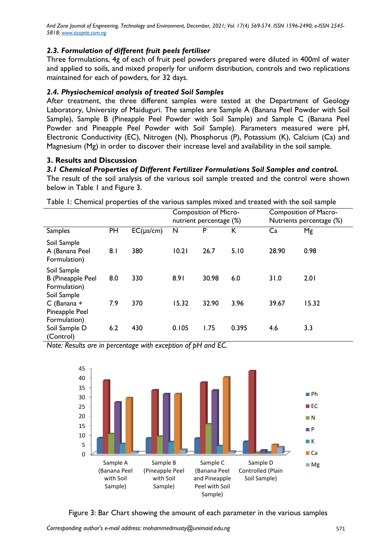*Arid Zone Journal of Engineering, Technology and Environment, December, 2021; Vol. 17(4) 569-574. ISSN 1596-2490; e-ISSN 2545- 5818; www.azojete.com.ng*

## *2.3. Formulation of different fruit peels fertiliser*

Three formulations, 4g of each of fruit peel powders prepared were diluted in 400ml of water and applied to soils, and mixed properly for uniform distribution, controls and two replications maintained for each of powders, for 32 days.

## *2.4. Physiochemical analysis of treated Soil Samples*

After treatment, the three different samples were tested at the Department of Geology Laboratory, University of Maiduguri. The samples are Sample A (Banana Peel Powder with Soil Sample), Sample B (Pineapple Peel Powder with Soil Sample) and Sample C (Banana Peel Powder and Pineapple Peel Powder with Soil Sample). Parameters measured were pH, Electronic Conductivity (EC), Nitrogen (N), Phosphorus (P), Potassium (K), Calcium (Ca) and Magnesium (Mg) in order to discover their increase level and availability in the soil sample.

### **3. Results and Discussion**

### *3.1 Chemical Properties of Different Fertilizer Formulations Soil Samples and control.*

The result of the soil analysis of the various soil sample treated and the control were shown below in Table 1 and Figure 3.

|                                                                        |     |           | <b>Composition of Micro-</b><br>nutrient percentage (%) |       |       | <b>Composition of Macro-</b><br>Nutrients percentage (%) |       |
|------------------------------------------------------------------------|-----|-----------|---------------------------------------------------------|-------|-------|----------------------------------------------------------|-------|
| <b>Samples</b>                                                         | PH  | EC(µs/cm) | N                                                       | P     | К     | Ca                                                       | Mg    |
| Soil Sample<br>A (Banana Peel<br>Formulation)                          | 8.1 | 380       | 10.21                                                   | 26.7  | 5.10  | 28.90                                                    | 0.98  |
| Soil Sample<br><b>B</b> (Pineapple Peel<br>Formulation)<br>Soil Sample | 8.0 | 330       | 8.91                                                    | 30.98 | 6.0   | 31.0                                                     | 2.01  |
| $C$ (Banana +                                                          | 7.9 | 370       | 15.32                                                   | 32.90 | 3.96  | 39.67                                                    | 15.32 |
| Pineapple Peel<br>Formulation)<br>Soil Sample D<br>(Control)           | 6.2 | 430       | 0.105                                                   | 1.75  | 0.395 | 4.6                                                      | 3.3   |

Table 1: Chemical properties of the various samples mixed and treated with the soil sample

*Note: Results are in percentage with exception of pH and EC.*



Figure 3: Bar Chart showing the amount of each parameter in the various samples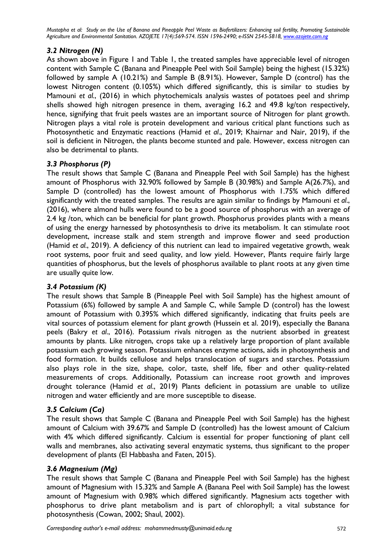*Mustapha et al: Study on the Use of Banana and Pineapple Peel Waste as Biofertilizers: Enhancing soil fertility, Promoting Sustainable Agriculture and Environmental Sanitation. AZOJETE 17(4):569-574. ISSN 1596-2490; e-ISSN 2545-5818, www.azojete.com.ng*

# *3.2 Nitrogen (N)*

As shown above in Figure 1 and Table 1, the treated samples have appreciable level of nitrogen content with Sample C (Banana and Pineapple Peel with Soil Sample) being the highest (15.32%) followed by sample A (10.21%) and Sample B (8.91%). However, Sample D (control) has the lowest Nitrogen content (0.105%) which differed significantly, this is similar to studies by Mamouni *et al.*, (2016) in which phytochemicals analysis wastes of potatoes peel and shrimp shells showed high nitrogen presence in them, averaging 16.2 and 49.8 kg/ton respectively, hence, signifying that fruit peels wastes are an important source of Nitrogen for plant growth. Nitrogen plays a vital role is protein development and various critical plant functions such as Photosynthetic and Enzymatic reactions (Hamid *et al*., 2019; Khairnar and Nair, 2019), if the soil is deficient in Nitrogen, the plants become stunted and pale. However, excess nitrogen can also be detrimental to plants.

# *3.3 Phosphorus (P)*

The result shows that Sample C (Banana and Pineapple Peel with Soil Sample) has the highest amount of Phosphorus with 32.90% followed by Sample B (30.98%) and Sample A(26.7%), and Sample D (controlled) has the lowest amount of Phosphorus with 1.75% which differed significantly with the treated samples. The results are again similar to findings by Mamouni *et al*., (2016), where almond hulls were found to be a good source of phosphorus with an average of 2.4 kg /ton, which can be beneficial for plant growth. Phosphorus provides plants with a means of using the energy harnessed by photosynthesis to drive its metabolism. It can stimulate root development, increase stalk and stem strength and improve flower and seed production (Hamid *et al.*, 2019). A deficiency of this nutrient can lead to impaired vegetative growth, weak root systems, poor fruit and seed quality, and low yield. However, Plants require fairly large quantities of phosphorus, but the levels of phosphorus available to plant roots at any given time are usually quite low.

# *3.4 Potassium (K)*

The result shows that Sample B (Pineapple Peel with Soil Sample) has the highest amount of Potassium (6%) followed by sample A and Sample C, while Sample D (control) has the lowest amount of Potassium with 0.395% which differed significantly, indicating that fruits peels are vital sources of potassium element for plant growth (Hussein et al. 2019), especially the Banana peels (Bakry *et al*., 2016). Potassium rivals nitrogen as the nutrient absorbed in greatest amounts by plants. Like nitrogen, crops take up a relatively large proportion of plant available potassium each growing season. Potassium enhances enzyme actions, aids in photosynthesis and food formation. It builds cellulose and helps translocation of sugars and starches. Potassium also plays role in the size, shape, color, taste, shelf life, fiber and other quality-related measurements of crops. Additionally, Potassium can increase root growth and improves drought tolerance (Hamid *et al*., 2019) Plants deficient in potassium are unable to utilize nitrogen and water efficiently and are more susceptible to disease.

# *3.5 Calcium (Ca)*

The result shows that Sample C (Banana and Pineapple Peel with Soil Sample) has the highest amount of Calcium with 39.67% and Sample D (controlled) has the lowest amount of Calcium with 4% which differed significantly. Calcium is essential for proper functioning of plant cell walls and membranes, also activating several enzymatic systems, thus significant to the proper development of plants (El Habbasha and Faten, 2015).

# *3.6 Magnesium (Mg)*

The result shows that Sample C (Banana and Pineapple Peel with Soil Sample) has the highest amount of Magnesium with 15.32% and Sample A (Banana Peel with Soil Sample) has the lowest amount of Magnesium with 0.98% which differed significantly. Magnesium acts together with phosphorus to drive plant metabolism and is part of chlorophyll; a vital substance for photosynthesis (Cowan, 2002; Shaul, 2002).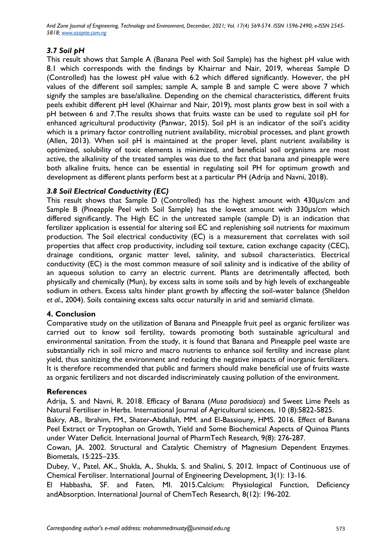*Arid Zone Journal of Engineering, Technology and Environment, December, 2021; Vol. 17(4) 569-574. ISSN 1596-2490; e-ISSN 2545- 5818; www.azojete.com.ng*

## *3.7 Soil pH*

This result shows that Sample A (Banana Peel with Soil Sample) has the highest pH value with 8.1 which corresponds with the findings by Khairnar and Nair, 2019, whereas Sample D (Controlled) has the lowest pH value with 6.2 which differed significantly. However, the pH values of the different soil samples; sample A, sample B and sample C were above 7 which signify the samples are base/alkaline. Depending on the chemical characteristics, different fruits peels exhibit different pH level (Khairnar and Nair, 2019), most plants grow best in soil with a pH between 6 and 7.The results shows that fruits waste can be used to regulate soil pH for enhanced agricultural productivity (Panwar, 2015). Soil pH is an indicator of the soil's acidity which is a primary factor controlling nutrient availability, microbial processes, and plant growth (Allen, 2013). When soil pH is maintained at the proper level, plant nutrient availability is optimized, solubility of toxic elements is minimized, and beneficial soil organisms are most active, the alkalinity of the treated samples was due to the fact that banana and pineapple were both alkaline fruits, hence can be essential in regulating soil PH for optimum growth and development as different plants perform best at a particular PH (Adrija and Navni, 2018).

# *3.8 Soil Electrical Conductivity (EC)*

This result shows that Sample D (Controlled) has the highest amount with 430μs/cm and Sample B (Pineapple Peel with Soil Sample) has the lowest amount with 330μs/cm which differed significantly. The High EC in the untreated sample (sample D) is an indication that fertilizer application is essential for altering soil EC and replenishing soil nutrients for maximum production. The Soil electrical conductivity (EC) is a measurement that correlates with soil properties that affect crop productivity, including soil texture, cation exchange capacity (CEC), drainage conditions, organic matter level, salinity, and subsoil characteristics. Electrical conductivity (EC) is the most common measure of soil salinity and is indicative of the ability of an aqueous solution to carry an electric current. Plants are detrimentally affected, both physically and chemically (Mun), by excess salts in some soils and by high levels of exchangeable sodium in others. Excess salts hinder plant growth by affecting the soil-water balance (Sheldon *et al*., 2004). Soils containing excess salts occur naturally in arid and semiarid climate.

### **4. Conclusion**

Comparative study on the utilization of Banana and Pineapple fruit peel as organic fertilizer was carried out to know soil fertility, towards promoting both sustainable agricultural and environmental sanitation. From the study, it is found that Banana and Pineapple peel waste are substantially rich in soil micro and macro nutrients to enhance soil fertility and increase plant yield, thus sanitizing the environment and reducing the negative impacts of inorganic fertilizers. It is therefore recommended that public and farmers should make beneficial use of fruits waste as organic fertilizers and not discarded indiscriminately causing pollution of the environment.

### **References**

Adrija, S. and Navni, R. 2018. Efficacy of Banana (*Musa paradisiaca*) and Sweet Lime Peels as Natural Fertiliser in Herbs. International Journal of Agricultural sciences, 10 (8):5822-5825.

Bakry, AB., Ibrahim, FM., Shater-Abdallah, MM. and El-Bassiouny, HMS. 2016. Effect of Banana Peel Extract or Tryptophan on Growth, Yield and Some Biochemical Aspects of Quinoa Plants under Water Deficit. International Journal of PharmTech Research*,* 9(8): 276-287.

Cowan, JA. 2002. Structural and Catalytic Chemistry of Magnesium Dependent Enzymes. Biometals, 15:225–235.

Dubey, V., Patel, AK., Shukla, A., Shukla, S. and Shalini, S. 2012. Impact of Continuous use of Chemical Fertiliser. International Journal of Engineering Development, 3(1): 13-16.

El Habbasha, SF. and Faten, MI. 2015.Calcium: Physiological Function, Deficiency andAbsorption. International Journal of ChemTech Research, 8(12): 196-202.